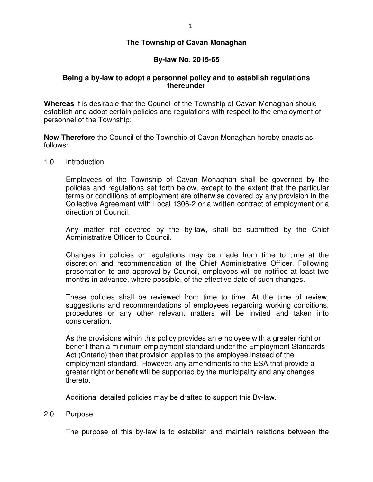# **The Township of Cavan Monaghan**

# **By-law No. 2015-65**

# **Being a by-law to adopt a personnel policy and to establish regulations thereunder**

**Whereas** it is desirable that the Council of the Township of Cavan Monaghan should establish and adopt certain policies and regulations with respect to the employment of personnel of the Township;

**Now Therefore** the Council of the Township of Cavan Monaghan hereby enacts as follows:

1.0 Introduction

Employees of the Township of Cavan Monaghan shall be governed by the policies and regulations set forth below, except to the extent that the particular terms or conditions of employment are otherwise covered by any provision in the Collective Agreement with Local 1306-2 or a written contract of employment or a direction of Council.

Any matter not covered by the by-law, shall be submitted by the Chief Administrative Officer to Council.

Changes in policies or regulations may be made from time to time at the discretion and recommendation of the Chief Administrative Officer. Following presentation to and approval by Council, employees will be notified at least two months in advance, where possible, of the effective date of such changes.

These policies shall be reviewed from time to time. At the time of review, suggestions and recommendations of employees regarding working conditions, procedures or any other relevant matters will be invited and taken into consideration.

 As the provisions within this policy provides an employee with a greater right or benefit than a minimum employment standard under the Employment Standards Act (Ontario) then that provision applies to the employee instead of the employment standard. However, any amendments to the ESA that provide a greater right or benefit will be supported by the municipality and any changes thereto.

Additional detailed policies may be drafted to support this By-law.

# 2.0 Purpose

The purpose of this by-law is to establish and maintain relations between the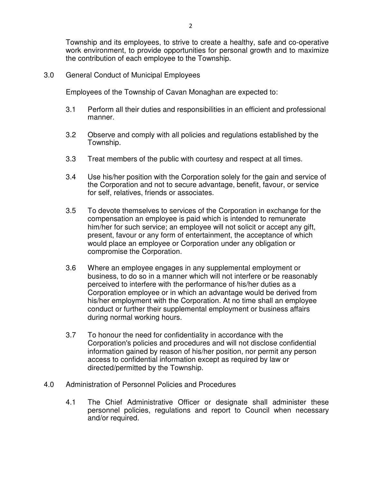Township and its employees, to strive to create a healthy, safe and co-operative work environment, to provide opportunities for personal growth and to maximize the contribution of each employee to the Township.

3.0 General Conduct of Municipal Employees

Employees of the Township of Cavan Monaghan are expected to:

- 3.1 Perform all their duties and responsibilities in an efficient and professional manner.
- 3.2 Observe and comply with all policies and regulations established by the Township.
- 3.3 Treat members of the public with courtesy and respect at all times.
- 3.4 Use his/her position with the Corporation solely for the gain and service of the Corporation and not to secure advantage, benefit, favour, or service for self, relatives, friends or associates.
- 3.5 To devote themselves to services of the Corporation in exchange for the compensation an employee is paid which is intended to remunerate him/her for such service; an employee will not solicit or accept any gift, present, favour or any form of entertainment, the acceptance of which would place an employee or Corporation under any obligation or compromise the Corporation.
- 3.6 Where an employee engages in any supplemental employment or business, to do so in a manner which will not interfere or be reasonably perceived to interfere with the performance of his/her duties as a Corporation employee or in which an advantage would be derived from his/her employment with the Corporation. At no time shall an employee conduct or further their supplemental employment or business affairs during normal working hours.
- 3.7 To honour the need for confidentiality in accordance with the Corporation's policies and procedures and will not disclose confidential information gained by reason of his/her position, nor permit any person access to confidential information except as required by law or directed/permitted by the Township.
- 4.0 Administration of Personnel Policies and Procedures
	- 4.1 The Chief Administrative Officer or designate shall administer these personnel policies, regulations and report to Council when necessary and/or required.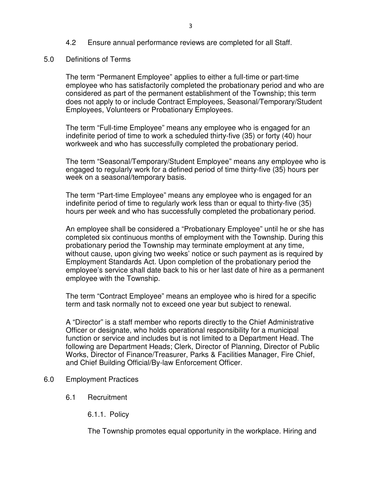# 4.2 Ensure annual performance reviews are completed for all Staff.

5.0 Definitions of Terms

The term "Permanent Employee" applies to either a full-time or part-time employee who has satisfactorily completed the probationary period and who are considered as part of the permanent establishment of the Township; this term does not apply to or include Contract Employees, Seasonal/Temporary/Student Employees, Volunteers or Probationary Employees.

The term "Full-time Employee" means any employee who is engaged for an indefinite period of time to work a scheduled thirty-five (35) or forty (40) hour workweek and who has successfully completed the probationary period.

The term "Seasonal/Temporary/Student Employee" means any employee who is engaged to regularly work for a defined period of time thirty-five (35) hours per week on a seasonal/temporary basis.

The term "Part-time Employee" means any employee who is engaged for an indefinite period of time to regularly work less than or equal to thirty-five (35) hours per week and who has successfully completed the probationary period.

An employee shall be considered a "Probationary Employee" until he or she has completed six continuous months of employment with the Township. During this probationary period the Township may terminate employment at any time, without cause, upon giving two weeks' notice or such payment as is required by Employment Standards Act. Upon completion of the probationary period the employee's service shall date back to his or her last date of hire as a permanent employee with the Township.

The term "Contract Employee" means an employee who is hired for a specific term and task normally not to exceed one year but subject to renewal.

A "Director" is a staff member who reports directly to the Chief Administrative Officer or designate, who holds operational responsibility for a municipal function or service and includes but is not limited to a Department Head. The following are Department Heads; Clerk, Director of Planning, Director of Public Works, Director of Finance/Treasurer, Parks & Facilities Manager, Fire Chief, and Chief Building Official/By-law Enforcement Officer.

- 6.0 Employment Practices
	- 6.1 Recruitment
		- 6.1.1. Policy

The Township promotes equal opportunity in the workplace. Hiring and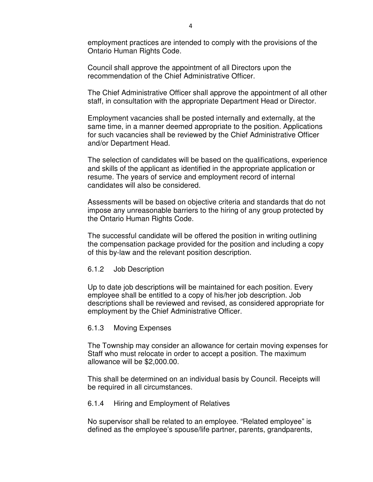employment practices are intended to comply with the provisions of the Ontario Human Rights Code.

Council shall approve the appointment of all Directors upon the recommendation of the Chief Administrative Officer.

The Chief Administrative Officer shall approve the appointment of all other staff, in consultation with the appropriate Department Head or Director.

Employment vacancies shall be posted internally and externally, at the same time, in a manner deemed appropriate to the position. Applications for such vacancies shall be reviewed by the Chief Administrative Officer and/or Department Head.

The selection of candidates will be based on the qualifications, experience and skills of the applicant as identified in the appropriate application or resume. The years of service and employment record of internal candidates will also be considered.

Assessments will be based on objective criteria and standards that do not impose any unreasonable barriers to the hiring of any group protected by the Ontario Human Rights Code.

The successful candidate will be offered the position in writing outlining the compensation package provided for the position and including a copy of this by-law and the relevant position description.

# 6.1.2 Job Description

Up to date job descriptions will be maintained for each position. Every employee shall be entitled to a copy of his/her job description. Job descriptions shall be reviewed and revised, as considered appropriate for employment by the Chief Administrative Officer.

# 6.1.3 Moving Expenses

The Township may consider an allowance for certain moving expenses for Staff who must relocate in order to accept a position. The maximum allowance will be \$2,000.00.

This shall be determined on an individual basis by Council. Receipts will be required in all circumstances.

# 6.1.4 Hiring and Employment of Relatives

No supervisor shall be related to an employee. "Related employee" is defined as the employee's spouse/life partner, parents, grandparents,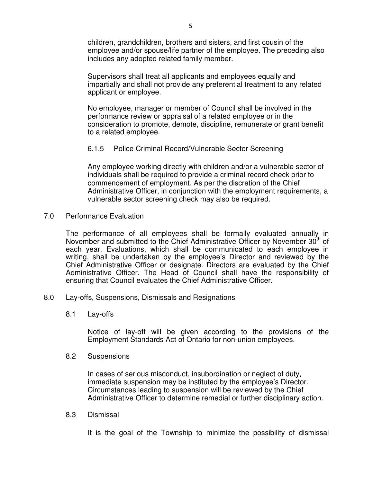children, grandchildren, brothers and sisters, and first cousin of the employee and/or spouse/life partner of the employee. The preceding also includes any adopted related family member.

Supervisors shall treat all applicants and employees equally and impartially and shall not provide any preferential treatment to any related applicant or employee.

No employee, manager or member of Council shall be involved in the performance review or appraisal of a related employee or in the consideration to promote, demote, discipline, remunerate or grant benefit to a related employee.

# 6.1.5 Police Criminal Record/Vulnerable Sector Screening

Any employee working directly with children and/or a vulnerable sector of individuals shall be required to provide a criminal record check prior to commencement of employment. As per the discretion of the Chief Administrative Officer, in conjunction with the employment requirements, a vulnerable sector screening check may also be required.

7.0 Performance Evaluation

The performance of all employees shall be formally evaluated annually in November and submitted to the Chief Administrative Officer by November  $30<sup>th</sup>$  of each year. Evaluations, which shall be communicated to each employee in writing, shall be undertaken by the employee's Director and reviewed by the Chief Administrative Officer or designate. Directors are evaluated by the Chief Administrative Officer. The Head of Council shall have the responsibility of ensuring that Council evaluates the Chief Administrative Officer.

- 8.0 Lay-offs, Suspensions, Dismissals and Resignations
	- 8.1 Lay-offs

 Notice of lay-off will be given according to the provisions of the Employment Standards Act of Ontario for non-union employees.

8.2 Suspensions

 In cases of serious misconduct, insubordination or neglect of duty, immediate suspension may be instituted by the employee's Director. Circumstances leading to suspension will be reviewed by the Chief Administrative Officer to determine remedial or further disciplinary action.

8.3 Dismissal

It is the goal of the Township to minimize the possibility of dismissal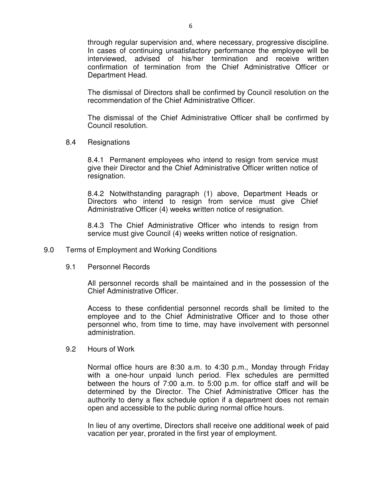through regular supervision and, where necessary, progressive discipline. In cases of continuing unsatisfactory performance the employee will be interviewed, advised of his/her termination and receive written confirmation of termination from the Chief Administrative Officer or Department Head.

 The dismissal of Directors shall be confirmed by Council resolution on the recommendation of the Chief Administrative Officer.

 The dismissal of the Chief Administrative Officer shall be confirmed by Council resolution.

8.4 Resignations

 8.4.1 Permanent employees who intend to resign from service must give their Director and the Chief Administrative Officer written notice of resignation.

 8.4.2 Notwithstanding paragraph (1) above, Department Heads or Directors who intend to resign from service must give Chief Administrative Officer (4) weeks written notice of resignation.

 8.4.3 The Chief Administrative Officer who intends to resign from service must give Council (4) weeks written notice of resignation.

- 9.0 Terms of Employment and Working Conditions
	- 9.1 Personnel Records

 All personnel records shall be maintained and in the possession of the Chief Administrative Officer.

 Access to these confidential personnel records shall be limited to the employee and to the Chief Administrative Officer and to those other personnel who, from time to time, may have involvement with personnel administration.

9.2 Hours of Work

 Normal office hours are 8:30 a.m. to 4:30 p.m., Monday through Friday with a one-hour unpaid lunch period. Flex schedules are permitted between the hours of 7:00 a.m. to 5:00 p.m. for office staff and will be determined by the Director. The Chief Administrative Officer has the authority to deny a flex schedule option if a department does not remain open and accessible to the public during normal office hours.

 In lieu of any overtime, Directors shall receive one additional week of paid vacation per year, prorated in the first year of employment.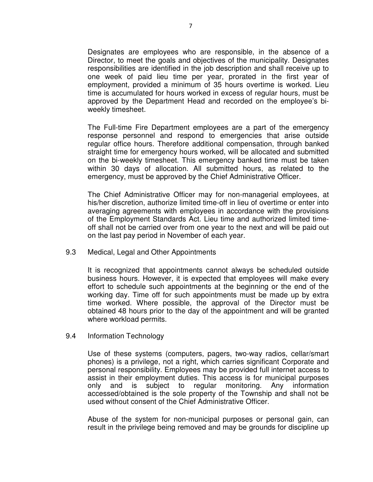Designates are employees who are responsible, in the absence of a Director, to meet the goals and objectives of the municipality. Designates responsibilities are identified in the job description and shall receive up to one week of paid lieu time per year, prorated in the first year of employment, provided a minimum of 35 hours overtime is worked. Lieu time is accumulated for hours worked in excess of regular hours, must be approved by the Department Head and recorded on the employee's bi weekly timesheet.

 The Full-time Fire Department employees are a part of the emergency response personnel and respond to emergencies that arise outside regular office hours. Therefore additional compensation, through banked straight time for emergency hours worked, will be allocated and submitted on the bi-weekly timesheet. This emergency banked time must be taken within 30 days of allocation. All submitted hours, as related to the emergency, must be approved by the Chief Administrative Officer.

 The Chief Administrative Officer may for non-managerial employees, at his/her discretion, authorize limited time-off in lieu of overtime or enter into averaging agreements with employees in accordance with the provisions of the Employment Standards Act. Lieu time and authorized limited time off shall not be carried over from one year to the next and will be paid out on the last pay period in November of each year.

9.3 Medical, Legal and Other Appointments

 It is recognized that appointments cannot always be scheduled outside business hours. However, it is expected that employees will make every effort to schedule such appointments at the beginning or the end of the working day. Time off for such appointments must be made up by extra time worked. Where possible, the approval of the Director must be obtained 48 hours prior to the day of the appointment and will be granted where workload permits.

9.4 Information Technology

 Use of these systems (computers, pagers, two-way radios, cellar/smart phones) is a privilege, not a right, which carries significant Corporate and personal responsibility. Employees may be provided full internet access to assist in their employment duties. This access is for municipal purposes only and is subject to regular monitoring. Any information accessed/obtained is the sole property of the Township and shall not be used without consent of the Chief Administrative Officer.

 Abuse of the system for non-municipal purposes or personal gain, can result in the privilege being removed and may be grounds for discipline up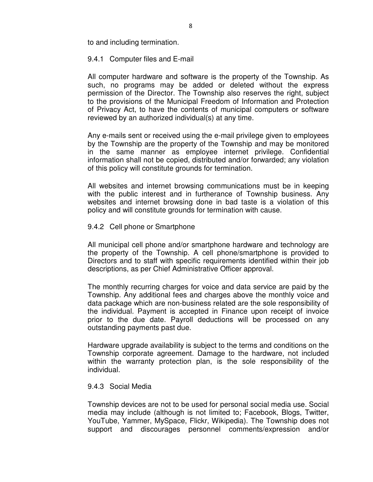to and including termination.

# 9.4.1 Computer files and E-mail

All computer hardware and software is the property of the Township. As such, no programs may be added or deleted without the express permission of the Director. The Township also reserves the right, subject to the provisions of the Municipal Freedom of Information and Protection of Privacy Act, to have the contents of municipal computers or software reviewed by an authorized individual(s) at any time.

Any e-mails sent or received using the e-mail privilege given to employees by the Township are the property of the Township and may be monitored in the same manner as employee internet privilege. Confidential information shall not be copied, distributed and/or forwarded; any violation of this policy will constitute grounds for termination.

All websites and internet browsing communications must be in keeping with the public interest and in furtherance of Township business. Any websites and internet browsing done in bad taste is a violation of this policy and will constitute grounds for termination with cause.

# 9.4.2 Cell phone or Smartphone

All municipal cell phone and/or smartphone hardware and technology are the property of the Township. A cell phone/smartphone is provided to Directors and to staff with specific requirements identified within their job descriptions, as per Chief Administrative Officer approval.

The monthly recurring charges for voice and data service are paid by the Township. Any additional fees and charges above the monthly voice and data package which are non-business related are the sole responsibility of the individual. Payment is accepted in Finance upon receipt of invoice prior to the due date. Payroll deductions will be processed on any outstanding payments past due.

Hardware upgrade availability is subject to the terms and conditions on the Township corporate agreement. Damage to the hardware, not included within the warranty protection plan, is the sole responsibility of the individual.

# 9.4.3 Social Media

Township devices are not to be used for personal social media use. Social media may include (although is not limited to; Facebook, Blogs, Twitter, YouTube, Yammer, MySpace, Flickr, Wikipedia). The Township does not support and discourages personnel comments/expression and/or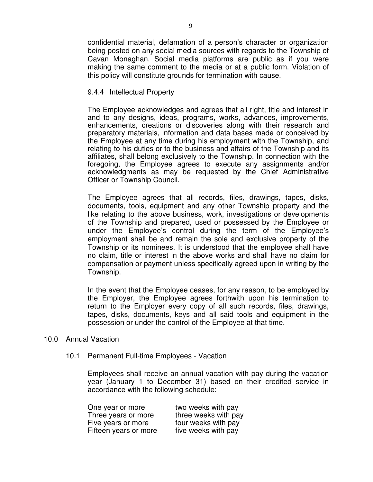confidential material, defamation of a person's character or organization being posted on any social media sources with regards to the Township of Cavan Monaghan. Social media platforms are public as if you were making the same comment to the media or at a public form. Violation of this policy will constitute grounds for termination with cause.

# 9.4.4 Intellectual Property

The Employee acknowledges and agrees that all right, title and interest in and to any designs, ideas, programs, works, advances, improvements, enhancements, creations or discoveries along with their research and preparatory materials, information and data bases made or conceived by the Employee at any time during his employment with the Township, and relating to his duties or to the business and affairs of the Township and its affiliates, shall belong exclusively to the Township. In connection with the foregoing, the Employee agrees to execute any assignments and/or acknowledgments as may be requested by the Chief Administrative Officer or Township Council.

The Employee agrees that all records, files, drawings, tapes, disks, documents, tools, equipment and any other Township property and the like relating to the above business, work, investigations or developments of the Township and prepared, used or possessed by the Employee or under the Employee's control during the term of the Employee's employment shall be and remain the sole and exclusive property of the Township or its nominees. It is understood that the employee shall have no claim, title or interest in the above works and shall have no claim for compensation or payment unless specifically agreed upon in writing by the Township.

In the event that the Employee ceases, for any reason, to be employed by the Employer, the Employee agrees forthwith upon his termination to return to the Employer every copy of all such records, files, drawings, tapes, disks, documents, keys and all said tools and equipment in the possession or under the control of the Employee at that time.

# 10.0 Annual Vacation

# 10.1 Permanent Full-time Employees - Vacation

 Employees shall receive an annual vacation with pay during the vacation year (January 1 to December 31) based on their credited service in accordance with the following schedule:

| One year or more      | two weeks with pay   |
|-----------------------|----------------------|
| Three years or more   | three weeks with pay |
| Five years or more    | four weeks with pay  |
| Fifteen years or more | five weeks with pay  |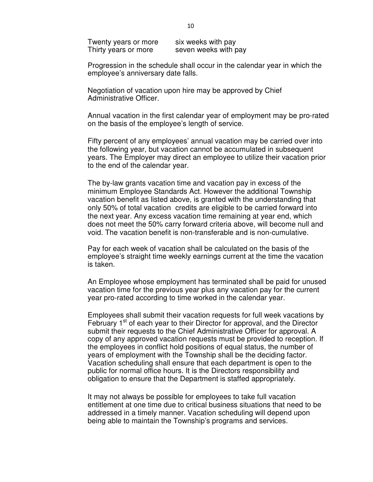Twenty years or more six weeks with pay Thirty years or more seven weeks with pay

 Progression in the schedule shall occur in the calendar year in which the employee's anniversary date falls.

 Negotiation of vacation upon hire may be approved by Chief Administrative Officer.

 Annual vacation in the first calendar year of employment may be pro-rated on the basis of the employee's length of service.

 Fifty percent of any employees' annual vacation may be carried over into the following year, but vacation cannot be accumulated in subsequent years. The Employer may direct an employee to utilize their vacation prior to the end of the calendar year.

 The by-law grants vacation time and vacation pay in excess of the minimum Employee Standards Act. However the additional Township vacation benefit as listed above, is granted with the understanding that only 50% of total vacation credits are eligible to be carried forward into the next year. Any excess vacation time remaining at year end, which does not meet the 50% carry forward criteria above, will become null and void. The vacation benefit is non-transferable and is non-cumulative.

 Pay for each week of vacation shall be calculated on the basis of the employee's straight time weekly earnings current at the time the vacation is taken.

 An Employee whose employment has terminated shall be paid for unused vacation time for the previous year plus any vacation pay for the current year pro-rated according to time worked in the calendar year.

 Employees shall submit their vacation requests for full week vacations by February 1<sup>st</sup> of each year to their Director for approval, and the Director submit their requests to the Chief Administrative Officer for approval. A copy of any approved vacation requests must be provided to reception. If the employees in conflict hold positions of equal status, the number of years of employment with the Township shall be the deciding factor. Vacation scheduling shall ensure that each department is open to the public for normal office hours. It is the Directors responsibility and obligation to ensure that the Department is staffed appropriately.

 It may not always be possible for employees to take full vacation entitlement at one time due to critical business situations that need to be addressed in a timely manner. Vacation scheduling will depend upon being able to maintain the Township's programs and services.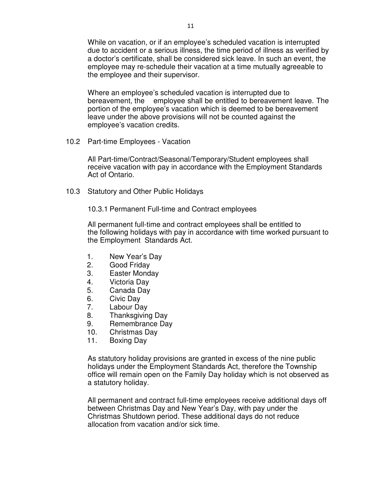While on vacation, or if an employee's scheduled vacation is interrupted due to accident or a serious illness, the time period of illness as verified by a doctor's certificate, shall be considered sick leave. In such an event, the employee may re-schedule their vacation at a time mutually agreeable to the employee and their supervisor.

 Where an employee's scheduled vacation is interrupted due to bereavement, the employee shall be entitled to bereavement leave. The portion of the employee's vacation which is deemed to be bereavement leave under the above provisions will not be counted against the employee's vacation credits.

10.2 Part-time Employees - Vacation

 All Part-time/Contract/Seasonal/Temporary/Student employees shall receive vacation with pay in accordance with the Employment Standards Act of Ontario.

10.3 Statutory and Other Public Holidays

10.3.1 Permanent Full-time and Contract employees

 All permanent full-time and contract employees shall be entitled to the following holidays with pay in accordance with time worked pursuant to the Employment Standards Act.

- 1. New Year's Day
- 2. Good Friday
- 3. Easter Monday
- 4. Victoria Day
- 5. Canada Day
- 6. Civic Day
- 7. Labour Day
- 8. Thanksgiving Day
- 9. Remembrance Day
- 10. Christmas Day
- 11. Boxing Day

 As statutory holiday provisions are granted in excess of the nine public holidays under the Employment Standards Act, therefore the Township office will remain open on the Family Day holiday which is not observed as a statutory holiday.

 All permanent and contract full-time employees receive additional days off between Christmas Day and New Year's Day, with pay under the Christmas Shutdown period. These additional days do not reduce allocation from vacation and/or sick time.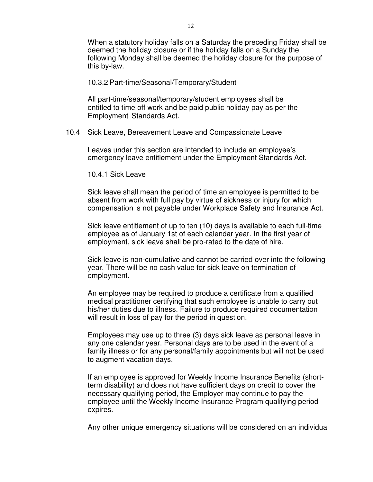When a statutory holiday falls on a Saturday the preceding Friday shall be deemed the holiday closure or if the holiday falls on a Sunday the following Monday shall be deemed the holiday closure for the purpose of this by-law.

#### 10.3.2 Part-time/Seasonal/Temporary/Student

 All part-time/seasonal/temporary/student employees shall be entitled to time off work and be paid public holiday pay as per the Employment Standards Act.

### 10.4 Sick Leave, Bereavement Leave and Compassionate Leave

 Leaves under this section are intended to include an employee's emergency leave entitlement under the Employment Standards Act.

10.4.1 Sick Leave

 Sick leave shall mean the period of time an employee is permitted to be absent from work with full pay by virtue of sickness or injury for which compensation is not payable under Workplace Safety and Insurance Act.

 Sick leave entitlement of up to ten (10) days is available to each full-time employee as of January 1st of each calendar year. In the first year of employment, sick leave shall be pro-rated to the date of hire.

 Sick leave is non-cumulative and cannot be carried over into the following year. There will be no cash value for sick leave on termination of employment.

 An employee may be required to produce a certificate from a qualified medical practitioner certifying that such employee is unable to carry out his/her duties due to illness. Failure to produce required documentation will result in loss of pay for the period in question.

 Employees may use up to three (3) days sick leave as personal leave in any one calendar year. Personal days are to be used in the event of a family illness or for any personal/family appointments but will not be used to augment vacation days.

 If an employee is approved for Weekly Income Insurance Benefits (short term disability) and does not have sufficient days on credit to cover the necessary qualifying period, the Employer may continue to pay the employee until the Weekly Income Insurance Program qualifying period expires.

Any other unique emergency situations will be considered on an individual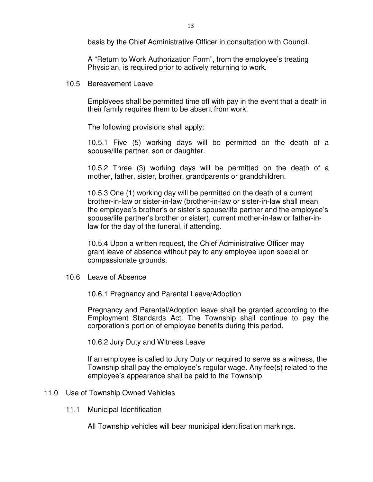basis by the Chief Administrative Officer in consultation with Council.

 A "Return to Work Authorization Form", from the employee's treating Physician, is required prior to actively returning to work.

10.5 Bereavement Leave

 Employees shall be permitted time off with pay in the event that a death in their family requires them to be absent from work.

The following provisions shall apply:

 10.5.1 Five (5) working days will be permitted on the death of a spouse/life partner, son or daughter.

 10.5.2 Three (3) working days will be permitted on the death of a mother, father, sister, brother, grandparents or grandchildren.

 10.5.3 One (1) working day will be permitted on the death of a current brother-in-law or sister-in-law (brother-in-law or sister-in-law shall mean the employee's brother's or sister's spouse/life partner and the employee's spouse/life partner's brother or sister), current mother-in-law or father-in law for the day of the funeral, if attending.

 10.5.4 Upon a written request, the Chief Administrative Officer may grant leave of absence without pay to any employee upon special or compassionate grounds.

10.6 Leave of Absence

10.6.1 Pregnancy and Parental Leave/Adoption

Pregnancy and Parental/Adoption leave shall be granted according to the Employment Standards Act. The Township shall continue to pay the corporation's portion of employee benefits during this period.

10.6.2 Jury Duty and Witness Leave

 If an employee is called to Jury Duty or required to serve as a witness, the Township shall pay the employee's regular wage. Any fee(s) related to the employee's appearance shall be paid to the Township

# 11.0 Use of Township Owned Vehicles

11.1 Municipal Identification

All Township vehicles will bear municipal identification markings.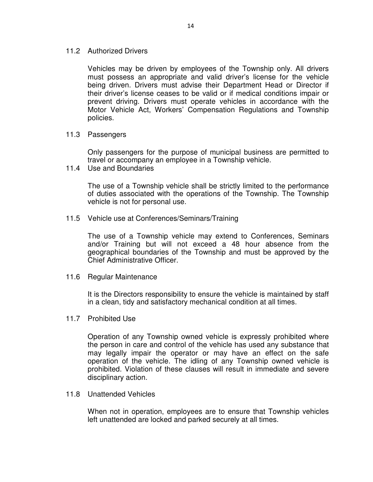11.2 Authorized Drivers

 Vehicles may be driven by employees of the Township only. All drivers must possess an appropriate and valid driver's license for the vehicle being driven. Drivers must advise their Department Head or Director if their driver's license ceases to be valid or if medical conditions impair or prevent driving. Drivers must operate vehicles in accordance with the Motor Vehicle Act, Workers' Compensation Regulations and Township policies.

11.3 Passengers

 Only passengers for the purpose of municipal business are permitted to travel or accompany an employee in a Township vehicle.

11.4 Use and Boundaries

 The use of a Township vehicle shall be strictly limited to the performance of duties associated with the operations of the Township. The Township vehicle is not for personal use.

11.5 Vehicle use at Conferences/Seminars/Training

 The use of a Township vehicle may extend to Conferences, Seminars and/or Training but will not exceed a 48 hour absence from the geographical boundaries of the Township and must be approved by the Chief Administrative Officer.

11.6 Regular Maintenance

 It is the Directors responsibility to ensure the vehicle is maintained by staff in a clean, tidy and satisfactory mechanical condition at all times.

11.7 Prohibited Use

 Operation of any Township owned vehicle is expressly prohibited where the person in care and control of the vehicle has used any substance that may legally impair the operator or may have an effect on the safe operation of the vehicle. The idling of any Township owned vehicle is prohibited. Violation of these clauses will result in immediate and severe disciplinary action.

11.8 Unattended Vehicles

 When not in operation, employees are to ensure that Township vehicles left unattended are locked and parked securely at all times.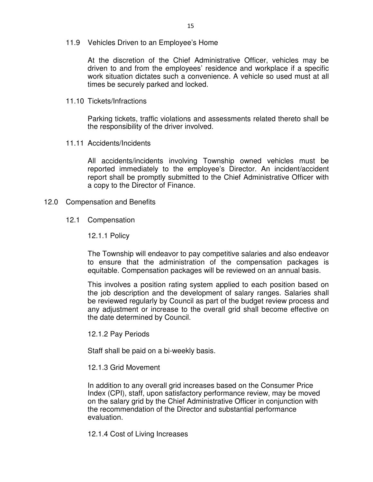11.9 Vehicles Driven to an Employee's Home

 At the discretion of the Chief Administrative Officer, vehicles may be driven to and from the employees' residence and workplace if a specific work situation dictates such a convenience. A vehicle so used must at all times be securely parked and locked.

11.10 Tickets/Infractions

 Parking tickets, traffic violations and assessments related thereto shall be the responsibility of the driver involved.

11.11 Accidents/Incidents

 All accidents/incidents involving Township owned vehicles must be reported immediately to the employee's Director. An incident/accident report shall be promptly submitted to the Chief Administrative Officer with a copy to the Director of Finance.

- 12.0 Compensation and Benefits
	- 12.1 Compensation

12.1.1 Policy

The Township will endeavor to pay competitive salaries and also endeavor to ensure that the administration of the compensation packages is equitable. Compensation packages will be reviewed on an annual basis.

This involves a position rating system applied to each position based on the job description and the development of salary ranges. Salaries shall be reviewed regularly by Council as part of the budget review process and any adjustment or increase to the overall grid shall become effective on the date determined by Council.

12.1.2 Pay Periods

Staff shall be paid on a bi-weekly basis.

12.1.3 Grid Movement

In addition to any overall grid increases based on the Consumer Price Index (CPI), staff, upon satisfactory performance review, may be moved on the salary grid by the Chief Administrative Officer in conjunction with the recommendation of the Director and substantial performance evaluation.

12.1.4 Cost of Living Increases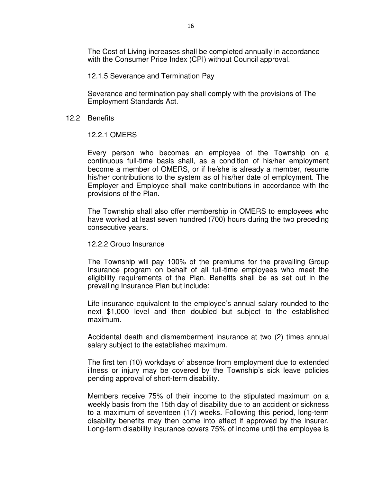The Cost of Living increases shall be completed annually in accordance with the Consumer Price Index (CPI) without Council approval.

12.1.5 Severance and Termination Pay

Severance and termination pay shall comply with the provisions of The Employment Standards Act.

### 12.2 Benefits

# 12.2.1 OMERS

Every person who becomes an employee of the Township on a continuous full-time basis shall, as a condition of his/her employment become a member of OMERS, or if he/she is already a member, resume his/her contributions to the system as of his/her date of employment. The Employer and Employee shall make contributions in accordance with the provisions of the Plan.

The Township shall also offer membership in OMERS to employees who have worked at least seven hundred (700) hours during the two preceding consecutive years.

### 12.2.2 Group Insurance

The Township will pay 100% of the premiums for the prevailing Group Insurance program on behalf of all full-time employees who meet the eligibility requirements of the Plan. Benefits shall be as set out in the prevailing Insurance Plan but include:

Life insurance equivalent to the employee's annual salary rounded to the next \$1,000 level and then doubled but subject to the established maximum.

Accidental death and dismemberment insurance at two (2) times annual salary subject to the established maximum.

The first ten (10) workdays of absence from employment due to extended illness or injury may be covered by the Township's sick leave policies pending approval of short-term disability.

Members receive 75% of their income to the stipulated maximum on a weekly basis from the 15th day of disability due to an accident or sickness to a maximum of seventeen (17) weeks. Following this period, long-term disability benefits may then come into effect if approved by the insurer. Long-term disability insurance covers 75% of income until the employee is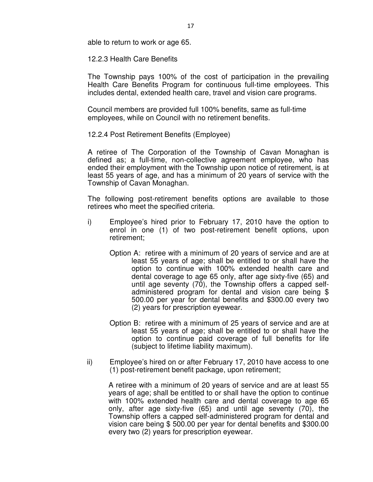able to return to work or age 65.

12.2.3 Health Care Benefits

The Township pays 100% of the cost of participation in the prevailing Health Care Benefits Program for continuous full-time employees. This includes dental, extended health care, travel and vision care programs.

Council members are provided full 100% benefits, same as full-time employees, while on Council with no retirement benefits.

12.2.4 Post Retirement Benefits (Employee)

A retiree of The Corporation of the Township of Cavan Monaghan is defined as; a full-time, non-collective agreement employee, who has ended their employment with the Township upon notice of retirement, is at least 55 years of age, and has a minimum of 20 years of service with the Township of Cavan Monaghan.

The following post-retirement benefits options are available to those retirees who meet the specified criteria.

- i) Employee's hired prior to February 17, 2010 have the option to enrol in one (1) of two post-retirement benefit options, upon retirement;
	- Option A: retiree with a minimum of 20 years of service and are at least 55 years of age; shall be entitled to or shall have the option to continue with 100% extended health care and dental coverage to age 65 only, after age sixty-five (65) and until age seventy (70), the Township offers a capped selfadministered program for dental and vision care being \$ 500.00 per year for dental benefits and \$300.00 every two (2) years for prescription eyewear.
	- Option B: retiree with a minimum of 25 years of service and are at least 55 years of age; shall be entitled to or shall have the option to continue paid coverage of full benefits for life (subject to lifetime liability maximum).
- ii) Employee's hired on or after February 17, 2010 have access to one (1) post-retirement benefit package, upon retirement;

 A retiree with a minimum of 20 years of service and are at least 55 years of age; shall be entitled to or shall have the option to continue with 100% extended health care and dental coverage to age 65 only, after age sixty-five (65) and until age seventy (70), the Township offers a capped self-administered program for dental and vision care being \$ 500.00 per year for dental benefits and \$300.00 every two (2) years for prescription eyewear.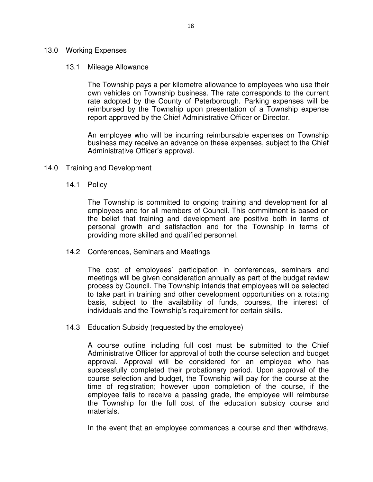# 13.0 Working Expenses

#### 13.1 Mileage Allowance

 The Township pays a per kilometre allowance to employees who use their own vehicles on Township business. The rate corresponds to the current rate adopted by the County of Peterborough. Parking expenses will be reimbursed by the Township upon presentation of a Township expense report approved by the Chief Administrative Officer or Director.

 An employee who will be incurring reimbursable expenses on Township business may receive an advance on these expenses, subject to the Chief Administrative Officer's approval.

- 14.0 Training and Development
	- 14.1 Policy

 The Township is committed to ongoing training and development for all employees and for all members of Council. This commitment is based on the belief that training and development are positive both in terms of personal growth and satisfaction and for the Township in terms of providing more skilled and qualified personnel.

14.2 Conferences, Seminars and Meetings

 The cost of employees' participation in conferences, seminars and meetings will be given consideration annually as part of the budget review process by Council. The Township intends that employees will be selected to take part in training and other development opportunities on a rotating basis, subject to the availability of funds, courses, the interest of individuals and the Township's requirement for certain skills.

14.3 Education Subsidy (requested by the employee)

 A course outline including full cost must be submitted to the Chief Administrative Officer for approval of both the course selection and budget approval. Approval will be considered for an employee who has successfully completed their probationary period. Upon approval of the course selection and budget, the Township will pay for the course at the time of registration; however upon completion of the course, if the employee fails to receive a passing grade, the employee will reimburse the Township for the full cost of the education subsidy course and materials.

In the event that an employee commences a course and then withdraws,